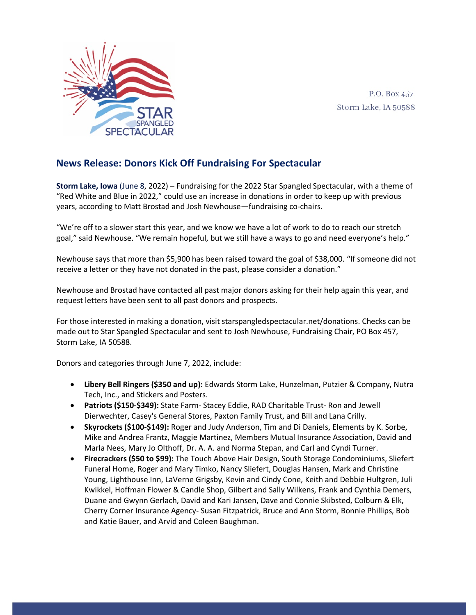

P.O. Box 457 Storm Lake, IA 50588

## **News Release: Donors Kick Off Fundraising For Spectacular**

**Storm Lake, Iowa** (June 8, 2022) – Fundraising for the 2022 Star Spangled Spectacular, with a theme of "Red White and Blue in 2022," could use an increase in donations in order to keep up with previous years, according to Matt Brostad and Josh Newhouse—fundraising co-chairs.

"We're off to a slower start this year, and we know we have a lot of work to do to reach our stretch goal," said Newhouse. "We remain hopeful, but we still have a ways to go and need everyone's help."

Newhouse says that more than \$5,900 has been raised toward the goal of \$38,000. "If someone did not receive a letter or they have not donated in the past, please consider a donation."

Newhouse and Brostad have contacted all past major donors asking for their help again this year, and request letters have been sent to all past donors and prospects.

For those interested in making a donation, visit starspangledspectacular.net/donations. Checks can be made out to Star Spangled Spectacular and sent to Josh Newhouse, Fundraising Chair, PO Box 457, Storm Lake, IA 50588.

Donors and categories through June 7, 2022, include:

- **Libery Bell Ringers (\$350 and up):** Edwards Storm Lake, Hunzelman, Putzier & Company, Nutra Tech, Inc., and Stickers and Posters.
- **Patriots (\$150-\$349):** State Farm- Stacey Eddie, RAD Charitable Trust- Ron and Jewell Dierwechter, Casey's General Stores, Paxton Family Trust, and Bill and Lana Crilly.
- **Skyrockets (\$100-\$149):** Roger and Judy Anderson, Tim and Di Daniels, Elements by K. Sorbe, Mike and Andrea Frantz, Maggie Martinez, Members Mutual Insurance Association, David and Marla Nees, Mary Jo Olthoff, Dr. A. A. and Norma Stepan, and Carl and Cyndi Turner.
- **Firecrackers (\$50 to \$99):** The Touch Above Hair Design, South Storage Condominiums, Sliefert Funeral Home, Roger and Mary Timko, Nancy Sliefert, Douglas Hansen, Mark and Christine Young, Lighthouse Inn, LaVerne Grigsby, Kevin and Cindy Cone, Keith and Debbie Hultgren, Juli Kwikkel, Hoffman Flower & Candle Shop, Gilbert and Sally Wilkens, Frank and Cynthia Demers, Duane and Gwynn Gerlach, David and Kari Jansen, Dave and Connie Skibsted, Colburn & Elk, Cherry Corner Insurance Agency- Susan Fitzpatrick, Bruce and Ann Storm, Bonnie Phillips, Bob and Katie Bauer, and Arvid and Coleen Baughman.